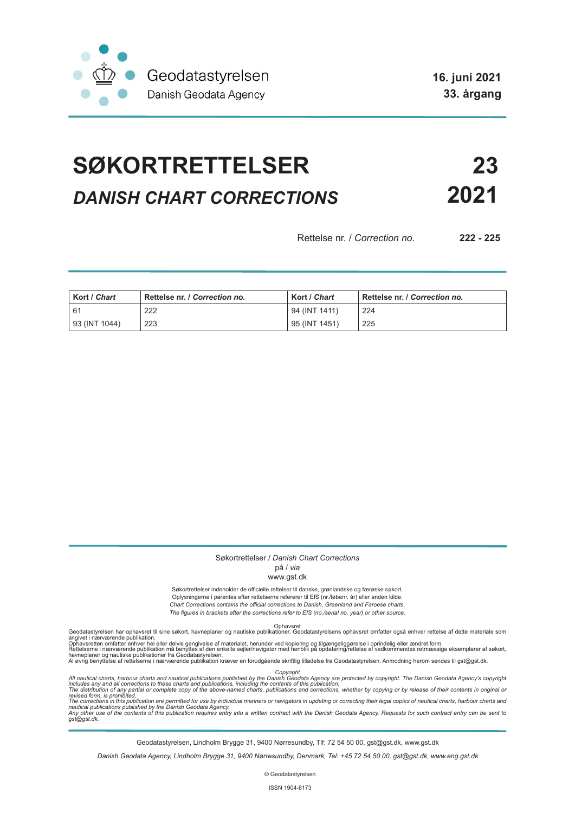

**16. juni 2021 33. årgang**

# **SØKORTRETTELSER 23** *DANISH CHART CORRECTIONS* **2021**

Rettelse nr. / *Correction no.* **222 - 225**

| Kort / Chart  | Rettelse nr. / Correction no. | Kort / Chart  | Rettelse nr. / Correction no. |
|---------------|-------------------------------|---------------|-------------------------------|
| -61           | 222                           | 94 (INT 1411) | 224                           |
| 93 (INT 1044) | 223                           | 95 (INT 1451) | 225                           |

#### Søkortrettelser / *Danish Chart Corrections* på / *via*

### www.gst.dk

Søkortrettelser indeholder de officielle rettelser til danske, grønlandske og færøske søkort. Oplysningerne i parentes efter rettelserne refererer til EfS (nr./løbenr. år) eller anden kilde. *Chart Corrections contains the official corrections to Danish, Greenland and Faroese charts. The figures in brackets after the corrections refer to EfS (no./serial no. year) or other source.*

Ophavsret Geodatastyrelsen har ophavsret til sine søkort, havneplaner og nautiske publikationer. Geodatastyrelsens ophavsret omfatter også enhver rettelse af dette materiale som

angivet i nærværende publikation.<br>Ophavsretten omfatter enhver hel eller delvis gengivelse af materialet, herunder ved kopiering og tilgængeliggørelse i oprindelig eller ændret form.<br>Rettelserne i nærværende publikation må

Copyright<br>includes any and all corrections to these charts and publications published by the Danish Agency are protected by copyright. The Danish Geodata Agency's copyright<br>includes any and all corrections to these charts

Geodatastyrelsen, Lindholm Brygge 31, 9400 Nørresundby, Tlf: 72 54 50 00, gst@gst.dk, www.gst.dk

*Danish Geodata Agency, Lindholm Brygge 31, 9400 Nørresundby, Denmark, Tel: +45 72 54 50 00, gst@gst.dk, www.eng.gst.dk*

© Geodatastyrelsen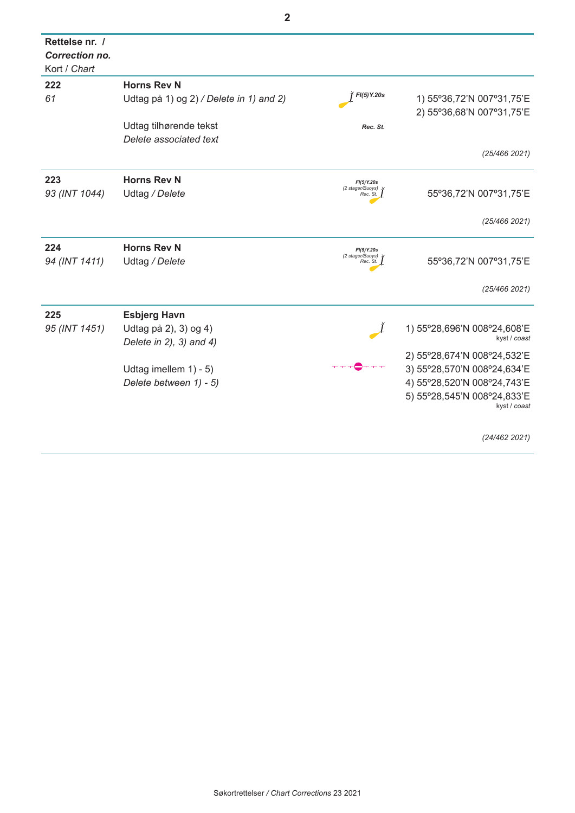| Rettelse nr. /<br>Correction no.<br>Kort / Chart |                                         |                                |                                             |
|--------------------------------------------------|-----------------------------------------|--------------------------------|---------------------------------------------|
| 222                                              | <b>Horns Rev N</b>                      |                                |                                             |
| 61                                               | Udtag på 1) og 2) / Delete in 1) and 2) | FI(5) Y.20s                    | 1) 55°36,72'N 007°31,75'E                   |
|                                                  |                                         |                                | 2) 55°36,68'N 007°31,75'E                   |
|                                                  | Udtag tilhørende tekst                  | Rec. St.                       |                                             |
|                                                  | Delete associated text                  |                                |                                             |
|                                                  |                                         |                                | (25/466 2021)                               |
| 223                                              | <b>Horns Rev N</b>                      | FI(5) Y.20s                    |                                             |
| 93 (INT 1044)                                    | Udtag / Delete                          | (2 stager/Buoys)<br>Rec. St.   | 55°36,72'N 007°31,75'E                      |
|                                                  |                                         |                                | (25/466 2021)                               |
| 224                                              | <b>Horns Rev N</b>                      | FI(5)Y.20s                     |                                             |
| 94 (INT 1411)                                    | Udtag / Delete                          | (2 stager/Buoys) *<br>Rec. St. | 55°36,72'N 007°31,75'E                      |
|                                                  |                                         |                                | (25/466 2021)                               |
| 225                                              | <b>Esbjerg Havn</b>                     |                                |                                             |
| 95 (INT 1451)                                    | Udtag på 2), 3) og 4)                   |                                | 1) 55°28,696'N 008°24,608'E                 |
|                                                  | Delete in $2$ ), $3)$ and $4)$          |                                | kyst / coast                                |
|                                                  |                                         |                                | 2) 55°28,674'N 008°24,532'E                 |
|                                                  | Udtag imellem 1) - 5)                   |                                | 3) 55°28,570'N 008°24,634'E                 |
|                                                  | Delete between 1) - 5)                  |                                | 4) 55°28,520'N 008°24,743'E                 |
|                                                  |                                         |                                | 5) 55°28,545'N 008°24,833'E<br>kyst / coast |
|                                                  |                                         |                                |                                             |
|                                                  |                                         |                                | (24/462 2021)                               |